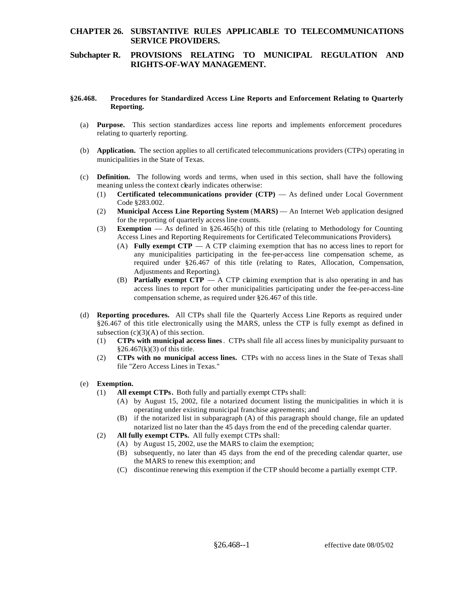## **CHAPTER 26. SUBSTANTIVE RULES APPLICABLE TO TELECOMMUNICATIONS SERVICE PROVIDERS.**

## **Subchapter R. PROVISIONS RELATING TO MUNICIPAL REGULATION AND RIGHTS-OF-WAY MANAGEMENT.**

#### **§26.468. Procedures for Standardized Access Line Reports and Enforcement Relating to Quarterly Reporting.**

- (a) **Purpose.** This section standardizes access line reports and implements enforcement procedures relating to quarterly reporting.
- (b) **Application.** The section applies to all certificated telecommunications providers (CTPs) operating in municipalities in the State of Texas.
- (c) **Definition.** The following words and terms, when used in this section, shall have the following meaning unless the context clearly indicates otherwise:
	- (1) **Certificated telecommunications provider (CTP)**  As defined under Local Government Code §283.002.
	- (2) **Municipal Access Line Reporting System** (**MARS)**  An Internet Web application designed for the reporting of quarterly access line counts.
	- (3) **Exemption**  As defined in §26.465(h) of this title (relating to Methodology for Counting Access Lines and Reporting Requirements for Certificated Telecommunications Providers).
		- (A) **Fully exempt CTP**  A CTP claiming exemption that has no access lines to report for any municipalities participating in the fee-per-access line compensation scheme, as required under §26.467 of this title (relating to Rates, Allocation, Compensation, Adjustments and Reporting).
		- (B) **Partially exempt CTP**  $\overline{\phantom{a}}$  A CTP claiming exemption that is also operating in and has access lines to report for other municipalities participating under the fee-per-access-line compensation scheme, as required under §26.467 of this title.
- (d) **Reporting procedures.** All CTPs shall file the Quarterly Access Line Reports as required under §26.467 of this title electronically using the MARS, unless the CTP is fully exempt as defined in subsection  $(c)(3)(A)$  of this section.
	- (1) **CTPs with municipal access lines** . CTPs shall file all access lines by municipality pursuant to  $§26.467(k)(3)$  of this title.
	- (2) **CTPs with no municipal access lines.** CTPs with no access lines in the State of Texas shall file "Zero Access Lines in Texas."

### (e) **Exemption.**

- (1) **All exempt CTPs.** Both fully and partially exempt CTPs shall:
	- (A) by August 15, 2002, file a notarized document listing the municipalities in which it is operating under existing municipal franchise agreements; and
	- (B) if the notarized list in subparagraph (A) of this paragraph should change, file an updated notarized list no later than the 45 days from the end of the preceding calendar quarter.
- (2) **All fully exempt CTPs.** All fully exempt CTPs shall:
	- (A) by August 15, 2002, use the MARS to claim the exemption;
	- (B) subsequently, no later than 45 days from the end of the preceding calendar quarter, use the MARS to renew this exemption; and
	- (C) discontinue renewing this exemption if the CTP should become a partially exempt CTP.